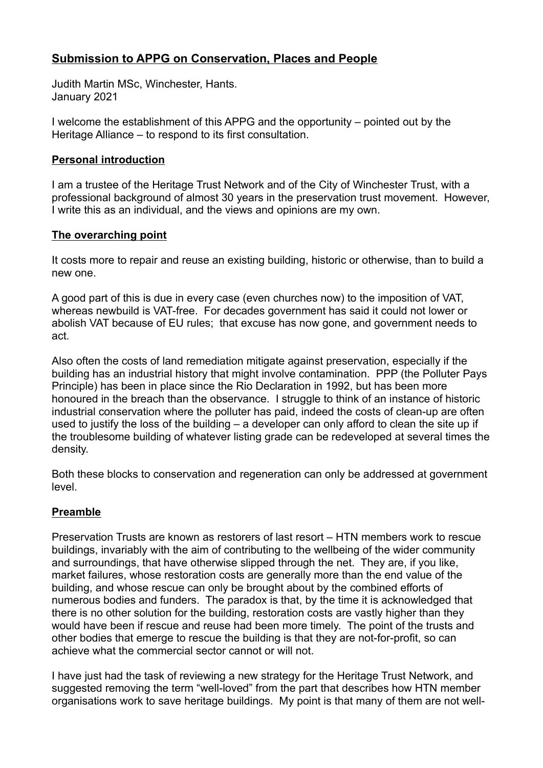# **Submission to APPG on Conservation, Places and People**

Judith Martin MSc, Winchester, Hants. January 2021

I welcome the establishment of this APPG and the opportunity – pointed out by the Heritage Alliance – to respond to its first consultation.

## **Personal introduction**

I am a trustee of the Heritage Trust Network and of the City of Winchester Trust, with a professional background of almost 30 years in the preservation trust movement. However, I write this as an individual, and the views and opinions are my own.

### **The overarching point**

It costs more to repair and reuse an existing building, historic or otherwise, than to build a new one.

A good part of this is due in every case (even churches now) to the imposition of VAT, whereas newbuild is VAT-free. For decades government has said it could not lower or abolish VAT because of EU rules; that excuse has now gone, and government needs to act.

Also often the costs of land remediation mitigate against preservation, especially if the building has an industrial history that might involve contamination. PPP (the Polluter Pays Principle) has been in place since the Rio Declaration in 1992, but has been more honoured in the breach than the observance. I struggle to think of an instance of historic industrial conservation where the polluter has paid, indeed the costs of clean-up are often used to justify the loss of the building – a developer can only afford to clean the site up if the troublesome building of whatever listing grade can be redeveloped at several times the density.

Both these blocks to conservation and regeneration can only be addressed at government level.

# **Preamble**

Preservation Trusts are known as restorers of last resort – HTN members work to rescue buildings, invariably with the aim of contributing to the wellbeing of the wider community and surroundings, that have otherwise slipped through the net. They are, if you like, market failures, whose restoration costs are generally more than the end value of the building, and whose rescue can only be brought about by the combined efforts of numerous bodies and funders. The paradox is that, by the time it is acknowledged that there is no other solution for the building, restoration costs are vastly higher than they would have been if rescue and reuse had been more timely. The point of the trusts and other bodies that emerge to rescue the building is that they are not-for-profit, so can achieve what the commercial sector cannot or will not.

I have just had the task of reviewing a new strategy for the Heritage Trust Network, and suggested removing the term "well-loved" from the part that describes how HTN member organisations work to save heritage buildings. My point is that many of them are not well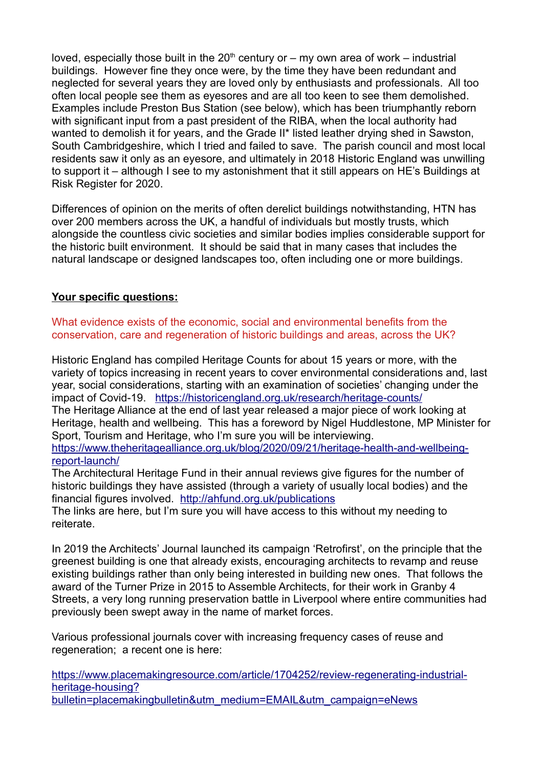loved, especially those built in the  $20<sup>th</sup>$  century or – my own area of work – industrial buildings. However fine they once were, by the time they have been redundant and neglected for several years they are loved only by enthusiasts and professionals. All too often local people see them as eyesores and are all too keen to see them demolished. Examples include Preston Bus Station (see below), which has been triumphantly reborn with significant input from a past president of the RIBA, when the local authority had wanted to demolish it for years, and the Grade II\* listed leather drying shed in Sawston, South Cambridgeshire, which I tried and failed to save. The parish council and most local residents saw it only as an eyesore, and ultimately in 2018 Historic England was unwilling to support it – although I see to my astonishment that it still appears on HE's Buildings at Risk Register for 2020.

Differences of opinion on the merits of often derelict buildings notwithstanding, HTN has over 200 members across the UK, a handful of individuals but mostly trusts, which alongside the countless civic societies and similar bodies implies considerable support for the historic built environment. It should be said that in many cases that includes the natural landscape or designed landscapes too, often including one or more buildings.

### **Your specific questions:**

What evidence exists of the economic, social and environmental benefits from the conservation, care and regeneration of historic buildings and areas, across the UK?

Historic England has compiled Heritage Counts for about 15 years or more, with the variety of topics increasing in recent years to cover environmental considerations and, last year, social considerations, starting with an examination of societies' changing under the impact of Covid-19. https://historicengland.org.uk/research/heritage-counts/ The Heritage Alliance at the end of last year released a major piece of work looking at Heritage, health and wellbeing. This has a foreword by Nigel Huddlestone, MP Minister for Sport, Tourism and Heritage, who I'm sure you will be interviewing. https://www.theheritagealliance.org.uk/blog/2020/09/21/heritage-health-and-wellbeingreport-launch/

The Architectural Heritage Fund in their annual reviews give figures for the number of historic buildings they have assisted (through a variety of usually local bodies) and the financial figures involved. http://ahfund.org.uk/publications

The links are here, but I'm sure you will have access to this without my needing to reiterate.

In 2019 the Architects' Journal launched its campaign 'Retrofirst', on the principle that the greenest building is one that already exists, encouraging architects to revamp and reuse existing buildings rather than only being interested in building new ones. That follows the award of the Turner Prize in 2015 to Assemble Architects, for their work in Granby 4 Streets, a very long running preservation battle in Liverpool where entire communities had previously been swept away in the name of market forces.

Various professional journals cover with increasing frequency cases of reuse and regeneration; a recent one is here:

https://www.placemakingresource.com/article/1704252/review-regenerating-industrialheritage-housing? bulletin=placemakingbulletin&utm\_medium=EMAIL&utm\_campaign=eNews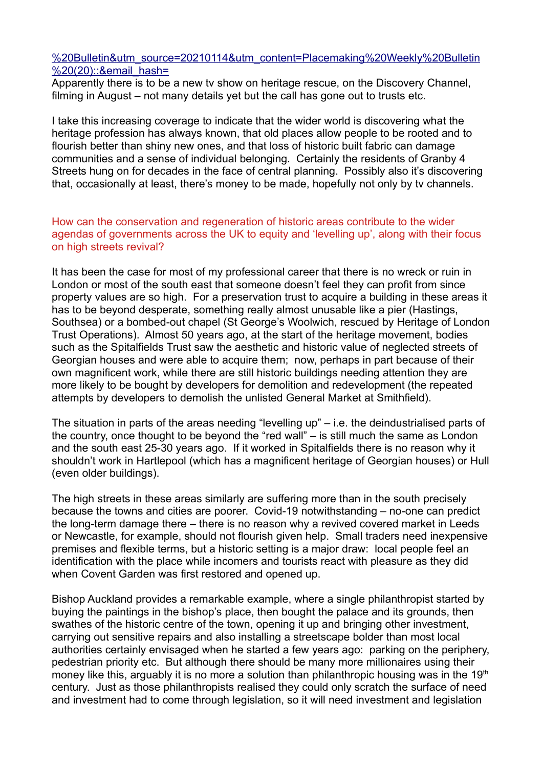#### %20Bulletin&utm\_source=20210114&utm\_content=Placemaking%20Weekly%20Bulletin %20(20): : & email\_hash =

Apparently there is to be a new tv show on heritage rescue, on the Discovery Channel, filming in August – not many details yet but the call has gone out to trusts etc.

I take this increasing coverage to indicate that the wider world is discovering what the heritage profession has always known, that old places allow people to be rooted and to flourish better than shiny new ones, and that loss of historic built fabric can damage communities and a sense of individual belonging. Certainly the residents of Granby 4 Streets hung on for decades in the face of central planning. Possibly also it's discovering that, occasionally at least, there's money to be made, hopefully not only by tv channels.

How can the conservation and regeneration of historic areas contribute to the wider agendas of governments across the UK to equity and 'levelling up', along with their focus on high streets revival?

It has been the case for most of my professional career that there is no wreck or ruin in London or most of the south east that someone doesn't feel they can profit from since property values are so high. For a preservation trust to acquire a building in these areas it has to be beyond desperate, something really almost unusable like a pier (Hastings, Southsea) or a bombed-out chapel (St George's Woolwich, rescued by Heritage of London Trust Operations). Almost 50 years ago, at the start of the heritage movement, bodies such as the Spitalfields Trust saw the aesthetic and historic value of neglected streets of Georgian houses and were able to acquire them; now, perhaps in part because of their own magnificent work, while there are still historic buildings needing attention they are more likely to be bought by developers for demolition and redevelopment (the repeated attempts by developers to demolish the unlisted General Market at Smithfield).

The situation in parts of the areas needing "levelling up" – i.e. the deindustrialised parts of the country, once thought to be beyond the "red wall" – is still much the same as London and the south east 25-30 years ago. If it worked in Spitalfields there is no reason why it shouldn't work in Hartlepool (which has a magnificent heritage of Georgian houses) or Hull (even older buildings).

The high streets in these areas similarly are suffering more than in the south precisely because the towns and cities are poorer. Covid-19 notwithstanding – no-one can predict the long-term damage there – there is no reason why a revived covered market in Leeds or Newcastle, for example, should not flourish given help. Small traders need inexpensive premises and flexible terms, but a historic setting is a major draw: local people feel an identification with the place while incomers and tourists react with pleasure as they did when Covent Garden was first restored and opened up.

Bishop Auckland provides a remarkable example, where a single philanthropist started by buying the paintings in the bishop's place, then bought the palace and its grounds, then swathes of the historic centre of the town, opening it up and bringing other investment, carrying out sensitive repairs and also installing a streetscape bolder than most local authorities certainly envisaged when he started a few years ago: parking on the periphery, pedestrian priority etc. But although there should be many more millionaires using their money like this, arguably it is no more a solution than philanthropic housing was in the  $19<sup>th</sup>$ century. Just as those philanthropists realised they could only scratch the surface of need and investment had to come through legislation, so it will need investment and legislation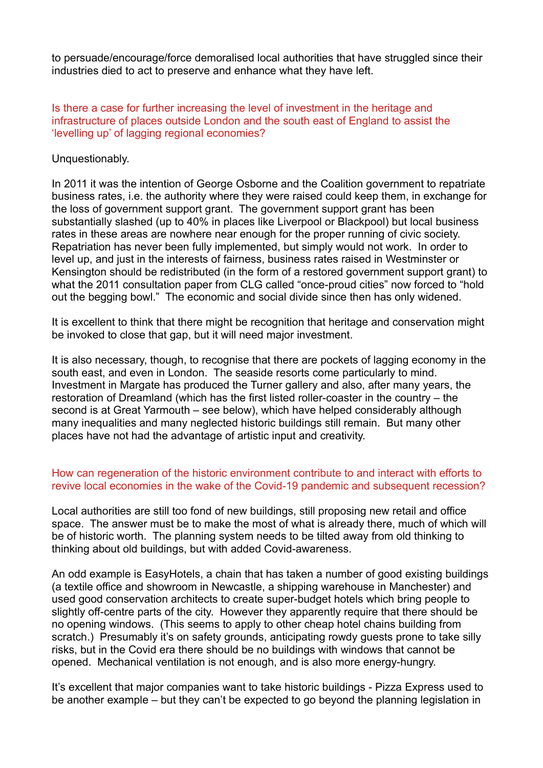to persuade/encourage/force demoralised local authorities that have struggled since their industries died to act to preserve and enhance what they have left.

Is there a case for further increasing the level of investment in the heritage and infrastructure of places outside London and the south east of England to assist the 'levelling up' of lagging regional economies?

Unquestionably.

In 2011 it was the intention of George Osborne and the Coalition government to repatriate business rates, i.e. the authority where they were raised could keep them, in exchange for the loss of government support grant. The government support grant has been substantially slashed (up to 40% in places like Liverpool or Blackpool) but local business rates in these areas are nowhere near enough for the proper running of civic society. Repatriation has never been fully implemented, but simply would not work. In order to level up, and just in the interests of fairness, business rates raised in Westminster or Kensington should be redistributed (in the form of a restored government support grant) to what the 2011 consultation paper from CLG called "once-proud cities" now forced to "hold out the begging bowl." The economic and social divide since then has only widened.

It is excellent to think that there might be recognition that heritage and conservation might be invoked to close that gap, but it will need major investment.

It is also necessary, though, to recognise that there are pockets of lagging economy in the south east, and even in London. The seaside resorts come particularly to mind. Investment in Margate has produced the Turner gallery and also, after many years, the restoration of Dreamland (which has the first listed roller-coaster in the country – the second is at Great Yarmouth – see below), which have helped considerably although many inequalities and many neglected historic buildings still remain. But many other places have not had the advantage of artistic input and creativity.

#### How can regeneration of the historic environment contribute to and interact with efforts to revive local economies in the wake of the Covid-19 pandemic and subsequent recession?

Local authorities are still too fond of new buildings, still proposing new retail and office space. The answer must be to make the most of what is already there, much of which will be of historic worth. The planning system needs to be tilted away from old thinking to thinking about old buildings, but with added Covid-awareness.

An odd example is EasyHotels, a chain that has taken a number of good existing buildings (a textile office and showroom in Newcastle, a shipping warehouse in Manchester) and used good conservation architects to create super-budget hotels which bring people to slightly off-centre parts of the city. However they apparently require that there should be no opening windows. (This seems to apply to other cheap hotel chains building from scratch.) Presumably it's on safety grounds, anticipating rowdy quests prone to take silly risks, but in the Covid era there should be no buildings with windows that cannot be opened. Mechanical ventilation is not enough, and is also more energy-hungry.

It's excellent that major companies want to take historic buildings - Pizza Express used to be another example – but they can't be expected to go beyond the planning legislation in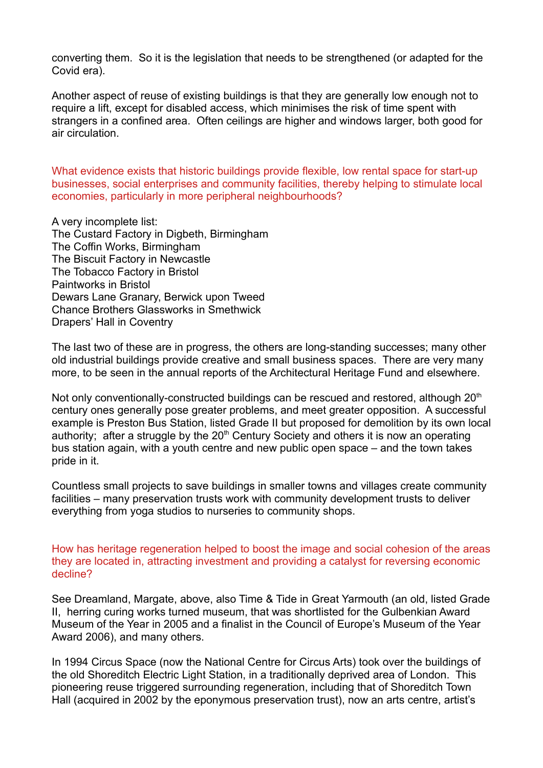converting them. So it is the legislation that needs to be strengthened (or adapted for the Covid era).

Another aspect of reuse of existing buildings is that they are generally low enough not to require a lift, except for disabled access, which minimises the risk of time spent with strangers in a confined area. Often ceilings are higher and windows larger, both good for air circulation.

What evidence exists that historic buildings provide flexible, low rental space for start-up businesses, social enterprises and community facilities, thereby helping to stimulate local economies, particularly in more peripheral neighbourhoods?

A very incomplete list: The Custard Factory in Digbeth, Birmingham The Coffin Works, Birmingham The Biscuit Factory in Newcastle The Tobacco Factory in Bristol Paintworks in Bristol Dewars Lane Granary, Berwick upon Tweed Chance Brothers Glassworks in Smethwick Drapers' Hall in Coventry

The last two of these are in progress, the others are long-standing successes; many other old industrial buildings provide creative and small business spaces. There are very many more, to be seen in the annual reports of the Architectural Heritage Fund and elsewhere.

Not only conventionally-constructed buildings can be rescued and restored, although 20<sup>th</sup> century ones generally pose greater problems, and meet greater opposition. A successful example is Preston Bus Station, listed Grade II but proposed for demolition by its own local authority; after a struggle by the  $20<sup>th</sup>$  Century Society and others it is now an operating bus station again, with a youth centre and new public open space – and the town takes pride in it.

Countless small projects to save buildings in smaller towns and villages create community facilities – many preservation trusts work with community development trusts to deliver everything from yoga studios to nurseries to community shops.

How has heritage regeneration helped to boost the image and social cohesion of the areas they are located in, attracting investment and providing a catalyst for reversing economic decline?

See Dreamland, Margate, above, also Time & Tide in Great Yarmouth (an old, listed Grade II, herring curing works turned museum, that was shortlisted for the Gulbenkian Award Museum of the Year in 2005 and a finalist in the Council of Europe's Museum of the Year Award 2006), and many others.

In 1994 Circus Space (now the National Centre for Circus Arts) took over the buildings of the old Shoreditch Electric Light Station, in a traditionally deprived area of London. This pioneering reuse triggered surrounding regeneration, including that of Shoreditch Town Hall (acquired in 2002 by the eponymous preservation trust), now an arts centre, artist's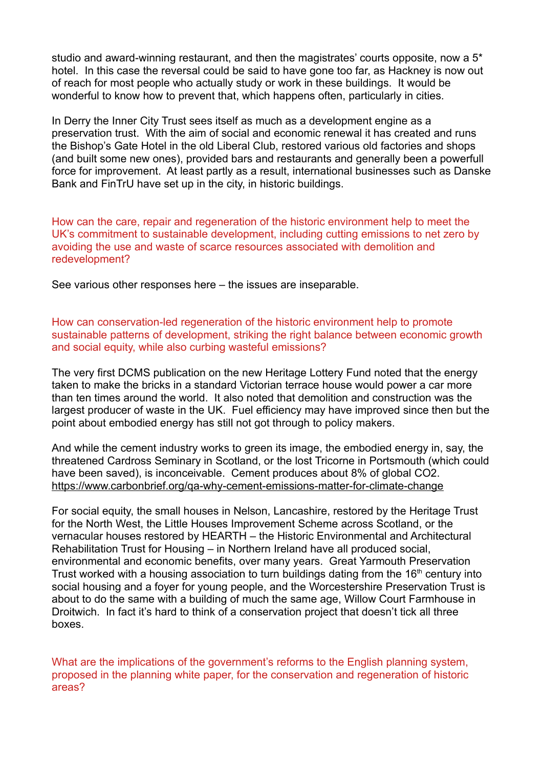studio and award-winning restaurant, and then the magistrates' courts opposite, now a 5\* hotel. In this case the reversal could be said to have gone too far, as Hackney is now out of reach for most people who actually study or work in these buildings. It would be wonderful to know how to prevent that, which happens often, particularly in cities.

In Derry the Inner City Trust sees itself as much as a development engine as a preservation trust. With the aim of social and economic renewal it has created and runs the Bishop's Gate Hotel in the old Liberal Club, restored various old factories and shops (and built some new ones), provided bars and restaurants and generally been a powerfull force for improvement. At least partly as a result, international businesses such as Danske Bank and FinTrU have set up in the city, in historic buildings.

How can the care, repair and regeneration of the historic environment help to meet the UK's commitment to sustainable development, including cutting emissions to net zero by avoiding the use and waste of scarce resources associated with demolition and redevelopment?

See various other responses here – the issues are inseparable.

How can conservation-led regeneration of the historic environment help to promote sustainable patterns of development, striking the right balance between economic growth and social equity, while also curbing wasteful emissions?

The very first DCMS publication on the new Heritage Lottery Fund noted that the energy taken to make the bricks in a standard Victorian terrace house would power a car more than ten times around the world. It also noted that demolition and construction was the largest producer of waste in the UK. Fuel efficiency may have improved since then but the point about embodied energy has still not got through to policy makers.

And while the cement industry works to green its image, the embodied energy in, say, the threatened Cardross Seminary in Scotland, or the lost Tricorne in Portsmouth (which could have been saved), is inconceivable. Cement produces about 8% of global CO2. https://www.carbonbrief.org/qa-why-cement-emissions-matter-for-climate-change

For social equity, the small houses in Nelson, Lancashire, restored by the Heritage Trust for the North West, the Little Houses Improvement Scheme across Scotland, or the vernacular houses restored by HEARTH – the Historic Environmental and Architectural Rehabilitation Trust for Housing – in Northern Ireland have all produced social, environmental and economic benefits, over many years. Great Yarmouth Preservation Trust worked with a housing association to turn buildings dating from the 16<sup>th</sup> century into social housing and a foyer for young people, and the Worcestershire Preservation Trust is about to do the same with a building of much the same age, Willow Court Farmhouse in Droitwich. In fact it's hard to think of a conservation project that doesn't tick all three boxes.

What are the implications of the government's reforms to the English planning system, proposed in the planning white paper, for the conservation and regeneration of historic areas?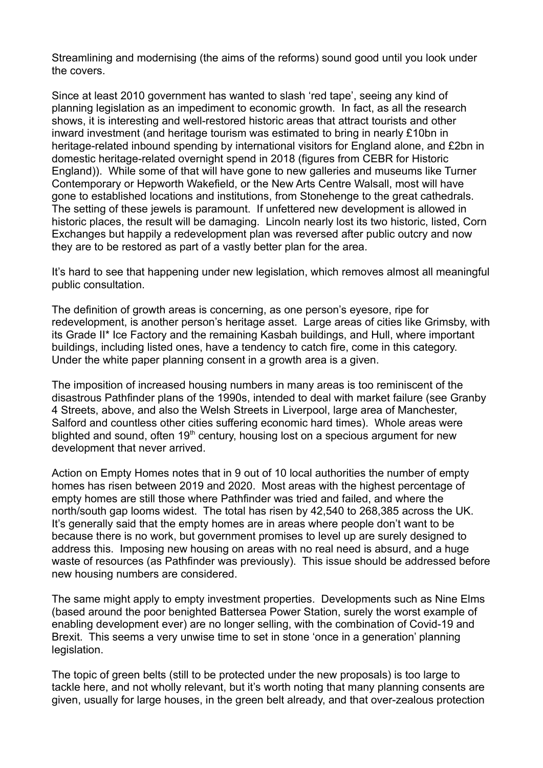Streamlining and modernising (the aims of the reforms) sound good until you look under the covers.

Since at least 2010 government has wanted to slash 'red tape', seeing any kind of planning legislation as an impediment to economic growth. In fact, as all the research shows, it is interesting and well-restored historic areas that attract tourists and other inward investment (and heritage tourism was estimated to bring in nearly £10bn in heritage-related inbound spending by international visitors for England alone, and £2bn in domestic heritage-related overnight spend in 2018 (figures from CEBR for Historic England)). While some of that will have gone to new galleries and museums like Turner Contemporary or Hepworth Wakefield, or the New Arts Centre Walsall, most will have gone to established locations and institutions, from Stonehenge to the great cathedrals. The setting of these jewels is paramount. If unfettered new development is allowed in historic places, the result will be damaging. Lincoln nearly lost its two historic, listed, Corn Exchanges but happily a redevelopment plan was reversed after public outcry and now they are to be restored as part of a vastly better plan for the area.

It's hard to see that happening under new legislation, which removes almost all meaningful public consultation.

The definition of growth areas is concerning, as one person's eyesore, ripe for redevelopment, is another person's heritage asset. Large areas of cities like Grimsby, with its Grade II\* Ice Factory and the remaining Kasbah buildings, and Hull, where important buildings, including listed ones, have a tendency to catch fire, come in this category. Under the white paper planning consent in a growth area is a given.

The imposition of increased housing numbers in many areas is too reminiscent of the disastrous Pathfinder plans of the 1990s, intended to deal with market failure (see Granby 4 Streets, above, and also the Welsh Streets in Liverpool, large area of Manchester, Salford and countless other cities suffering economic hard times). Whole areas were blighted and sound, often  $19<sup>th</sup>$  century, housing lost on a specious argument for new development that never arrived.

Action on Empty Homes notes that in 9 out of 10 local authorities the number of empty homes has risen between 2019 and 2020. Most areas with the highest percentage of empty homes are still those where Pathfinder was tried and failed, and where the north/south gap looms widest. The total has risen by 42,540 to 268,385 across the UK. It's generally said that the empty homes are in areas where people don't want to be because there is no work, but government promises to level up are surely designed to address this. Imposing new housing on areas with no real need is absurd, and a huge waste of resources (as Pathfinder was previously). This issue should be addressed before new housing numbers are considered.

The same might apply to empty investment properties. Developments such as Nine Elms (based around the poor benighted Battersea Power Station, surely the worst example of enabling development ever) are no longer selling, with the combination of Covid-19 and Brexit. This seems a very unwise time to set in stone 'once in a generation' planning legislation.

The topic of green belts (still to be protected under the new proposals) is too large to tackle here, and not wholly relevant, but it's worth noting that many planning consents are given, usually for large houses, in the green belt already, and that over-zealous protection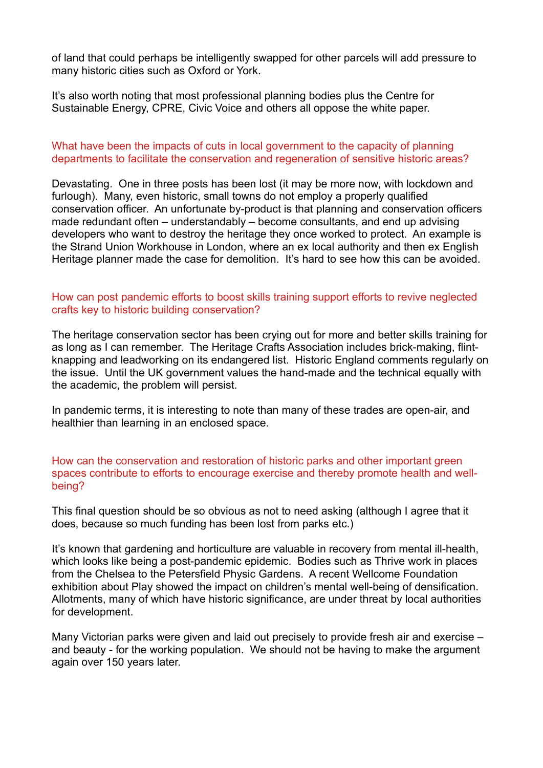of land that could perhaps be intelligently swapped for other parcels will add pressure to many historic cities such as Oxford or York.

It's also worth noting that most professional planning bodies plus the Centre for Sustainable Energy, CPRE, Civic Voice and others all oppose the white paper.

#### What have been the impacts of cuts in local government to the capacity of planning departments to facilitate the conservation and regeneration of sensitive historic areas?

Devastating. One in three posts has been lost (it may be more now, with lockdown and furlough). Many, even historic, small towns do not employ a properly qualified conservation officer. An unfortunate by-product is that planning and conservation officers made redundant often – understandably – become consultants, and end up advising developers who want to destroy the heritage they once worked to protect. An example is the Strand Union Workhouse in London, where an ex local authority and then ex English Heritage planner made the case for demolition. It's hard to see how this can be avoided.

#### How can post pandemic efforts to boost skills training support efforts to revive neglected crafts key to historic building conservation?

The heritage conservation sector has been crying out for more and better skills training for as long as I can remember. The Heritage Crafts Association includes brick-making, flintknapping and leadworking on its endangered list. Historic England comments regularly on the issue. Until the UK government values the hand-made and the technical equally with the academic, the problem will persist.

In pandemic terms, it is interesting to note than many of these trades are open-air, and healthier than learning in an enclosed space.

How can the conservation and restoration of historic parks and other important green spaces contribute to efforts to encourage exercise and thereby promote health and wellbeing?

This final question should be so obvious as not to need asking (although I agree that it does, because so much funding has been lost from parks etc.)

It's known that gardening and horticulture are valuable in recovery from mental ill-health, which looks like being a post-pandemic epidemic. Bodies such as Thrive work in places from the Chelsea to the Petersfield Physic Gardens. A recent Wellcome Foundation exhibition about Play showed the impact on children's mental well-being of densification. Allotments, many of which have historic significance, are under threat by local authorities for development.

Many Victorian parks were given and laid out precisely to provide fresh air and exercise – and beauty - for the working population. We should not be having to make the argument again over 150 years later.